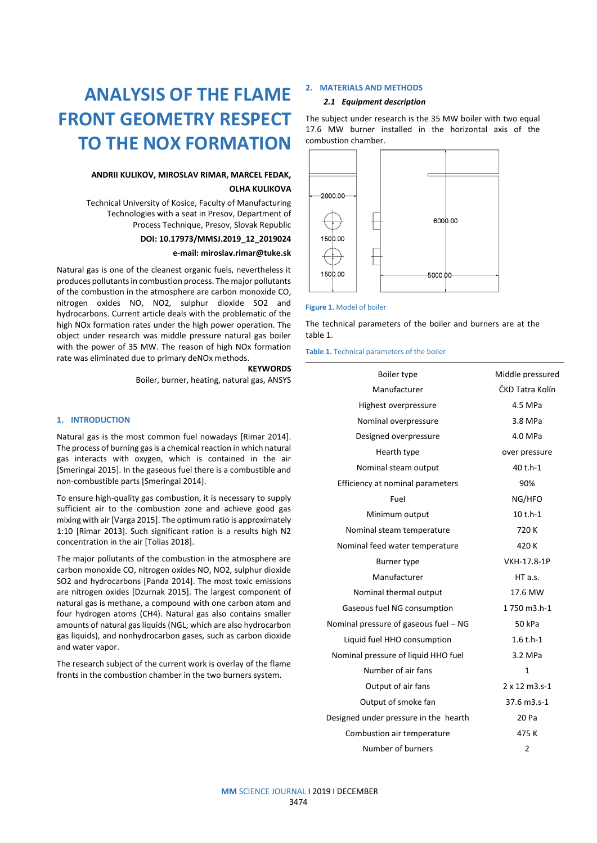# **ANALYSIS OF THE FLAME FRONT GEOMETRY RESPECT TO THE NOX FORMATION**

# **ANDRII KULIKOV, MIROSLAV RIMAR, MARCEL FEDAK, OLHA KULIKOVA**

Technical University of Kosice, Faculty of Manufacturing Technologies with a seat in Presov, Department of Process Technique, Presov, Slovak Republic

## **DOI: 10.17973/MMSJ.2019\_12\_2019024**

## **e-mail: miroslav.rimar@tuke.sk**

Natural gas is one of the cleanest organic fuels, nevertheless it produces pollutants in combustion process. The major pollutants of the combustion in the atmosphere are carbon monoxide CO, nitrogen oxides NO, NO2, sulphur dioxide SO2 and hydrocarbons. Current article deals with the problematic of the high NOx formation rates under the high power operation. The object under research was middle pressure natural gas boiler with the power of 35 MW. The reason of high NOx formation rate was eliminated due to primary deNOx methods.

> **KEYWORDS** Boiler, burner, heating, natural gas, ANSYS

# **1. INTRODUCTION**

Natural gas is the most common fuel nowadays [Rimar 2014]. The process of burning gas is a chemical reaction in which natural gas interacts with oxygen, which is contained in the air [Smeringai 2015]. In the gaseous fuel there is a combustible and non-combustible parts [Smeringai 2014].

To ensure high-quality gas combustion, it is necessary to supply sufficient air to the combustion zone and achieve good gas mixing with air[Varga 2015]. The optimum ratio is approximately 1:10 [Rimar 2013]. Such significant ration is a results high N2 concentration in the air [Tolias 2018].

The major pollutants of the combustion in the atmosphere are carbon monoxide CO, nitrogen oxides NO, NO2, sulphur dioxide SO2 and hydrocarbons [Panda 2014]. The most toxic emissions are nitrogen oxides [Dzurnak 2015]. The largest component of natural gas is methane, a compound with one carbon atom and four hydrogen atoms (CH4). Natural gas also contains smaller amounts of natural gas liquids (NGL; which are also hydrocarbon gas liquids), and nonhydrocarbon gases, such as carbon dioxide and water vapor.

The research subject of the current work is overlay of the flame fronts in the combustion chamber in the two burners system.

## **2. MATERIALS AND METHODS**

## *2.1 Equipment description*

The subject under research is the 35 MW boiler with two equal 17.6 MW burner installed in the horizontal axis of the combustion chamber.



#### **Figure 1.** Model of boiler

The technical parameters of the boiler and burners are at the table 1.

**Table 1.** Technical parameters of the boiler

| Boiler type                           | Middle pressured     |
|---------------------------------------|----------------------|
| Manufacturer                          | ČKD Tatra Kolín      |
| Highest overpressure                  | 4.5 MPa              |
| Nominal overpressure                  | 3.8 MPa              |
| Designed overpressure                 | 4.0 MPa              |
| Hearth type                           | over pressure        |
| Nominal steam output                  | 40 t.h-1             |
| Efficiency at nominal parameters      | 90%                  |
| Fuel                                  | NG/HFO               |
| Minimum output                        | $10 t.h-1$           |
| Nominal steam temperature             | 720K                 |
| Nominal feed water temperature        | 420 K                |
| Burner type                           | VKH-17.8-1P          |
| Manufacturer                          | HT a.s.              |
| Nominal thermal output                | 17.6 MW              |
| Gaseous fuel NG consumption           | 1750 m3.h-1          |
| Nominal pressure of gaseous fuel - NG | 50 kPa               |
| Liquid fuel HHO consumption           | $1.6 t.h-1$          |
| Nominal pressure of liquid HHO fuel   | 3.2 MPa              |
| Number of air fans                    | 1                    |
| Output of air fans                    | $2 \times 12$ m3.s-1 |
| Output of smoke fan                   | 37.6 m3.s-1          |
| Designed under pressure in the hearth | 20 Pa                |
| Combustion air temperature            | 475K                 |
| Number of burners                     | $\overline{2}$       |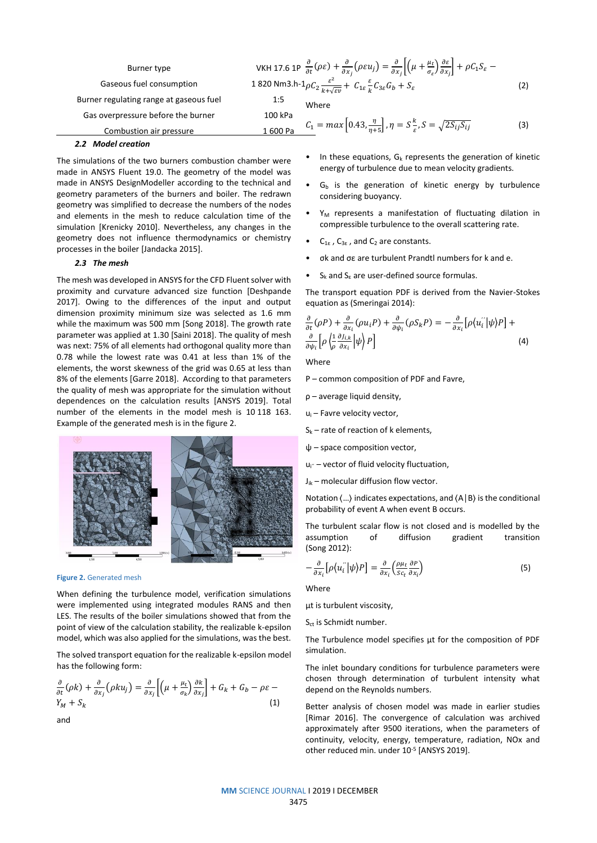| Burner type                             |         | VKH 17.6 1P $\frac{\partial}{\partial t}(\rho \varepsilon) + \frac{\partial}{\partial x_i}(\rho \varepsilon u_j) = \frac{\partial}{\partial x_i} \left  \left( \mu + \frac{\mu_t}{\sigma_s} \right) \frac{\partial \varepsilon}{\partial x_i} \right  + \rho C_1 S_{\varepsilon}$ |     |
|-----------------------------------------|---------|-----------------------------------------------------------------------------------------------------------------------------------------------------------------------------------------------------------------------------------------------------------------------------------|-----|
| Gaseous fuel consumption                |         | 1 820 Nm3.h-1 $\rho C_2 \frac{\varepsilon^2}{k+\sqrt{\varepsilon v}} + C_{1\varepsilon} \frac{\varepsilon}{k} C_{3\varepsilon} G_b + S_{\varepsilon}$                                                                                                                             | (2) |
| Burner regulating range at gaseous fuel | 1:5     | Where                                                                                                                                                                                                                                                                             |     |
| Gas overpressure before the burner      | 100 kPa |                                                                                                                                                                                                                                                                                   |     |
| Combustion air pressure                 | 1600 Pa | $C_1 = max\left[0.43, \frac{\eta}{n+5}\right], \eta = S\frac{k}{\varepsilon}, S = \sqrt{2S_{ij}S_{ij}}$                                                                                                                                                                           | (3) |

## *2.2 Model creation*

The simulations of the two burners combustion chamber were made in ANSYS Fluent 19.0. The geometry of the model was made in ANSYS DesignModeller according to the technical and geometry parameters of the burners and boiler. The redrawn geometry was simplified to decrease the numbers of the nodes and elements in the mesh to reduce calculation time of the simulation [Krenicky 2010]. Nevertheless, any changes in the geometry does not influence thermodynamics or chemistry processes in the boiler [Jandacka 2015].

# *2.3 The mesh*

The mesh was developed in ANSYS for the CFD Fluent solver with proximity and curvature advanced size function [Deshpande 2017]. Owing to the differences of the input and output dimension proximity minimum size was selected as 1.6 mm while the maximum was 500 mm [Song 2018]. The growth rate parameter was applied at 1.30 [Saini 2018]. The quality of mesh was next: 75% of all elements had orthogonal quality more than 0.78 while the lowest rate was 0.41 at less than 1% of the elements, the worst skewness of the grid was 0.65 at less than 8% of the elements [Garre 2018]. According to that parameters the quality of mesh was appropriate for the simulation without dependences on the calculation results [ANSYS 2019]. Total number of the elements in the model mesh is 10 118 163. Example of the generated mesh is in the figure 2.



**Figure 2.** Generated mesh

When defining the turbulence model, verification simulations were implemented using integrated modules RANS and then LES. The results of the boiler simulations showed that from the point of view of the calculation stability, the realizable k-epsilon model, which was also applied for the simulations, was the best.

The solved transport equation for the realizable k-epsilon model has the following form:

$$
\frac{\partial}{\partial t}(\rho k) + \frac{\partial}{\partial x_j}(\rho k u_j) = \frac{\partial}{\partial x_j} \left[ \left( \mu + \frac{\mu_t}{\sigma_k} \right) \frac{\partial k}{\partial x_j} \right] + G_k + G_b - \rho \varepsilon - Y_M + S_k \tag{1}
$$

and

- In these equations,  $G_k$  represents the generation of kinetic energy of turbulence due to mean velocity gradients.
- $G<sub>b</sub>$  is the generation of kinetic energy by turbulence considering buoyancy.
- $Y_M$  represents a manifestation of fluctuating dilation in compressible turbulence to the overall scattering rate.
- $C_{1\epsilon}$ ,  $C_{3\epsilon}$ , and  $C_2$  are constants.
- σk and σε are turbulent Prandtl numbers for k and e.
- $S_k$  and  $S_\epsilon$  are user-defined source formulas.

The transport equation PDF is derived from the Navier-Stokes equation as (Smeringai 2014):

$$
\frac{\partial}{\partial t}(\rho P) + \frac{\partial}{\partial x_i}(\rho u_i P) + \frac{\partial}{\partial \psi_i}(\rho S_k P) = -\frac{\partial}{\partial x_i}[\rho \langle u_i \rangle |\psi \rangle P] + \frac{\partial}{\partial \psi_i}[\rho \langle \frac{1}{\rho} \frac{\partial J_{i,k}}{\partial x_i} | \psi \rangle P]
$$
(4)

Where

P – common composition of PDF and Favre,

- ρ average liquid density,
- u<sup>i</sup> Favre velocity vector,
- $S_k$  rate of reaction of k elements,
- ψ space composition vector,
- ui<sup>*r*</sup> vector of fluid velocity fluctuation.
- $J_{ik}$  molecular diffusion flow vector.

Notation ⟨…⟩ indicates expectations, and ⟨A│B⟩ is the conditional probability of event A when event B occurs.

The turbulent scalar flow is not closed and is modelled by the assumption of diffusion gradient transition (Song 2012):

$$
-\frac{\partial}{\partial x_i} \left[ \rho \langle u_i^{''} | \psi \rangle P \right] = \frac{\partial}{\partial x_i} \left( \frac{\rho \mu_t}{Sc_t} \frac{\partial P}{\partial x_i} \right) \tag{5}
$$

**Where** 

μt is turbulent viscosity,

S<sub>ct</sub> is Schmidt number.

The Turbulence model specifies μt for the composition of PDF simulation.

The inlet boundary conditions for turbulence parameters were chosen through determination of turbulent intensity what depend on the Reynolds numbers.

Better analysis of chosen model was made in earlier studies [Rimar 2016]. The convergence of calculation was archived approximately after 9500 iterations, when the parameters of continuity, velocity, energy, temperature, radiation, NOx and other reduced min. under 10<sup>-5</sup> [ANSYS 2019].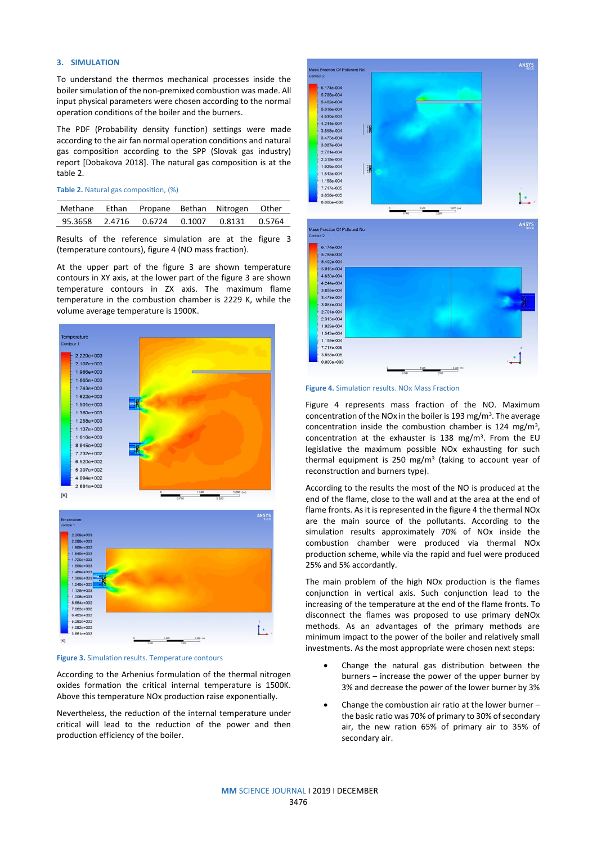# **3. SIMULATION**

To understand the thermos mechanical processes inside the boiler simulation of the non-premixed combustion was made. All input physical parameters were chosen according to the normal operation conditions of the boiler and the burners.

The PDF (Probability density function) settings were made according to the air fan normal operation conditions and natural gas composition according to the SPP (Slovak gas industry) report [Dobakova 2018]. The natural gas composition is at the table 2.

| Table 2. Natural gas composition, (%) |  |  |  |
|---------------------------------------|--|--|--|
|---------------------------------------|--|--|--|

|  |  | Methane Ethan Propane Bethan Nitrogen Other |  |
|--|--|---------------------------------------------|--|
|  |  | 95.3658 2.4716 0.6724 0.1007 0.8131 0.5764  |  |

Results of the reference simulation are at the figure 3 (temperature contours), figure 4 (NO mass fraction).

At the upper part of the figure 3 are shown temperature contours in XY axis, at the lower part of the figure 3 are shown temperature contours in ZX axis. The maximum flame temperature in the combustion chamber is 2229 K, while the volume average temperature is 1900K.





According to the Arhenius formulation of the thermal nitrogen oxides formation the critical internal temperature is 1500K. Above this temperature NOx production raise exponentially.

Nevertheless, the reduction of the internal temperature under critical will lead to the reduction of the power and then production efficiency of the boiler.



#### **Figure 4.** Simulation results. NOx Mass Fraction

Figure 4 represents mass fraction of the NO. Maximum concentration of the NOx in the boiler is 193 mg/m<sup>3</sup>. The average concentration inside the combustion chamber is 124 mg/m<sup>3</sup> , concentration at the exhauster is  $138 \, \text{mg/m}^3$ . From the EU legislative the maximum possible NOx exhausting for such thermal equipment is 250 mg/m<sup>3</sup> (taking to account year of reconstruction and burners type).

According to the results the most of the NO is produced at the end of the flame, close to the wall and at the area at the end of flame fronts. As it is represented in the figure 4 the thermal NOx are the main source of the pollutants. According to the simulation results approximately 70% of NOx inside the combustion chamber were produced via thermal NOx production scheme, while via the rapid and fuel were produced 25% and 5% accordantly.

The main problem of the high NOx production is the flames conjunction in vertical axis. Such conjunction lead to the increasing of the temperature at the end of the flame fronts. To disconnect the flames was proposed to use primary deNOx methods. As an advantages of the primary methods are minimum impact to the power of the boiler and relatively small investments. As the most appropriate were chosen next steps:

- Change the natural gas distribution between the burners – increase the power of the upper burner by 3% and decrease the power of the lower burner by 3%
- Change the combustion air ratio at the lower burner the basic ratio was 70% of primary to 30% of secondary air, the new ration 65% of primary air to 35% of secondary air.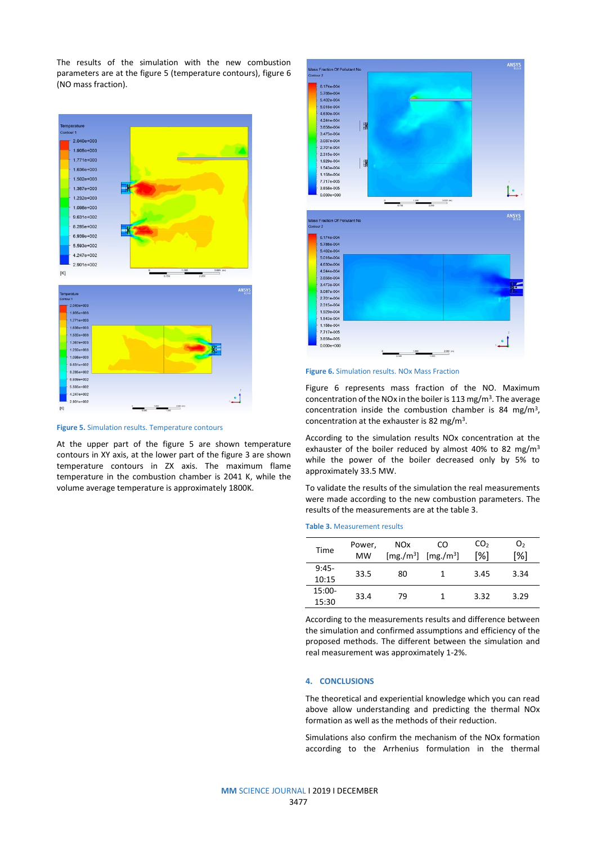The results of the simulation with the new combustion parameters are at the figure 5 (temperature contours), figure 6 (NO mass fraction).



**Figure 5.** Simulation results. Temperature contours

At the upper part of the figure 5 are shown temperature contours in XY axis, at the lower part of the figure 3 are shown temperature contours in ZX axis. The maximum flame temperature in the combustion chamber is 2041 K, while the volume average temperature is approximately 1800K.





Figure 6 represents mass fraction of the NO. Maximum concentration of the NOx in the boiler is 113 mg/m<sup>3</sup>. The average concentration inside the combustion chamber is 84 mg/m<sup>3</sup> , concentration at the exhauster is 82 mg/m<sup>3</sup>.

According to the simulation results NOx concentration at the exhauster of the boiler reduced by almost 40% to 82 mg/m<sup>3</sup> while the power of the boiler decreased only by 5% to approximately 33.5 MW.

To validate the results of the simulation the real measurements were made according to the new combustion parameters. The results of the measurements are at the table 3.

## **Table 3.** Measurement results

| Time             | Power,<br>MW | <b>NOx</b> | CO<br>$[mg./m^3]$ $[mg./m^3]$ | CO <sub>2</sub><br>[%] | о,<br>[%] |
|------------------|--------------|------------|-------------------------------|------------------------|-----------|
| $9:45-$<br>10:15 | 33.5         | 80         | 1                             | 3.45                   | 3.34      |
| 15:00-<br>15:30  | 33.4         | 79         |                               | 3.32                   | 3.29      |

According to the measurements results and difference between the simulation and confirmed assumptions and efficiency of the proposed methods. The different between the simulation and real measurement was approximately 1-2%.

## **4. CONCLUSIONS**

The theoretical and experiential knowledge which you can read above allow understanding and predicting the thermal NOx formation as well as the methods of their reduction.

Simulations also confirm the mechanism of the NOx formation according to the Arrhenius formulation in the thermal